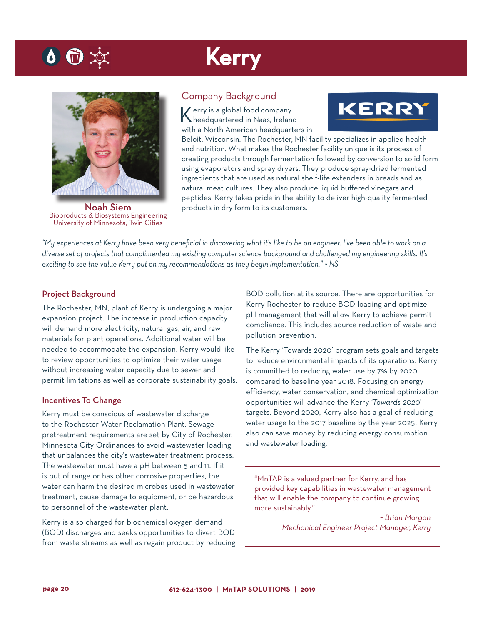# Kerry



 $\bullet$   $\bullet$ 

Noah Siem Bioproducts & Biosystems Engineering University of Minnesota, Twin Cities

### Company Background

Kerry is a global food company headquartered in Naas, Ireland with a North American headquarters in



Beloit, Wisconsin. The Rochester, MN facility specializes in applied health and nutrition. What makes the Rochester facility unique is its process of creating products through fermentation followed by conversion to solid form using evaporators and spray dryers. They produce spray-dried fermented ingredients that are used as natural shelf-life extenders in breads and as natural meat cultures. They also produce liquid buffered vinegars and peptides. Kerry takes pride in the ability to deliver high-quality fermented products in dry form to its customers.

*"My experiences at Kerry have been very beneficial in discovering what it's like to be an engineer. I've been able to work on a diverse set of projects that complimented my existing computer science background and challenged my engineering skills. It's exciting to see the value Kerry put on my recommendations as they begin implementation." ~ NS*

### Project Background

The Rochester, MN, plant of Kerry is undergoing a major expansion project. The increase in production capacity will demand more electricity, natural gas, air, and raw materials for plant operations. Additional water will be needed to accommodate the expansion. Kerry would like to review opportunities to optimize their water usage without increasing water capacity due to sewer and permit limitations as well as corporate sustainability goals.

#### Incentives To Change

Kerry must be conscious of wastewater discharge to the Rochester Water Reclamation Plant. Sewage pretreatment requirements are set by City of Rochester, Minnesota City Ordinances to avoid wastewater loading that unbalances the city's wastewater treatment process. The wastewater must have a pH between 5 and 11. If it is out of range or has other corrosive properties, the water can harm the desired microbes used in wastewater treatment, cause damage to equipment, or be hazardous to personnel of the wastewater plant.

Kerry is also charged for biochemical oxygen demand (BOD) discharges and seeks opportunities to divert BOD from waste streams as well as regain product by reducing BOD pollution at its source. There are opportunities for Kerry Rochester to reduce BOD loading and optimize pH management that will allow Kerry to achieve permit compliance. This includes source reduction of waste and pollution prevention.

The Kerry 'Towards 2020' program sets goals and targets to reduce environmental impacts of its operations. Kerry is committed to reducing water use by 7% by 2020 compared to baseline year 2018. Focusing on energy efficiency, water conservation, and chemical optimization opportunities will advance the Kerry '*Towards 2020*' targets. Beyond 2020, Kerry also has a goal of reducing water usage to the 2017 baseline by the year 2025. Kerry also can save money by reducing energy consumption and wastewater loading.

"MnTAP is a valued partner for Kerry, and has provided key capabilities in wastewater management that will enable the company to continue growing more sustainably."

> *~ Brian Morgan Mechanical Engineer Project Manager, Kerry*